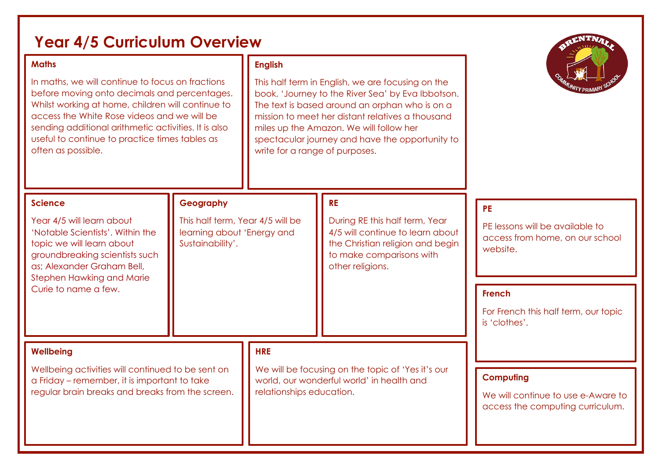| <b>Year 4/5 Curriculum Overview</b><br><b>Maths</b><br>In maths, we will continue to focus on fractions<br>before moving onto decimals and percentages.<br>Whilst working at home, children will continue to<br>access the White Rose videos and we will be<br>sending additional arithmetic activities. It is also<br>useful to continue to practice times tables as<br>often as possible. |                                                                                                 | <b>English</b><br>This half term in English, we are focusing on the<br>book, 'Journey to the River Sea' by Eva Ibbotson.<br>The text is based around an orphan who is on a<br>mission to meet her distant relatives a thousand<br>miles up the Amazon. We will follow her<br>spectacular journey and have the opportunity to<br>write for a range of purposes. |                                                                                                                                                                     |                                                                                             |
|---------------------------------------------------------------------------------------------------------------------------------------------------------------------------------------------------------------------------------------------------------------------------------------------------------------------------------------------------------------------------------------------|-------------------------------------------------------------------------------------------------|----------------------------------------------------------------------------------------------------------------------------------------------------------------------------------------------------------------------------------------------------------------------------------------------------------------------------------------------------------------|---------------------------------------------------------------------------------------------------------------------------------------------------------------------|---------------------------------------------------------------------------------------------|
| <b>Science</b><br>Year 4/5 will learn about<br>'Notable Scientists'. Within the<br>topic we will learn about<br>groundbreaking scientists such<br>as; Alexander Graham Bell,                                                                                                                                                                                                                | Geography<br>This half term, Year 4/5 will be<br>learning about 'Energy and<br>Sustainability'. |                                                                                                                                                                                                                                                                                                                                                                | <b>RE</b><br>During RE this half term, Year<br>4/5 will continue to learn about<br>the Christian religion and begin<br>to make comparisons with<br>other religions. | <b>PE</b><br>PE lessons will be available to<br>access from home, on our school<br>website. |
| <b>Stephen Hawking and Marie</b><br>Curie to name a few.<br><b>Wellbeing</b>                                                                                                                                                                                                                                                                                                                |                                                                                                 | <b>HRE</b>                                                                                                                                                                                                                                                                                                                                                     |                                                                                                                                                                     | <b>French</b><br>For French this half term, our topic<br>is 'clothes'.                      |
| Wellbeing activities will continued to be sent on<br>a Friday – remember, it is important to take<br>regular brain breaks and breaks from the screen.                                                                                                                                                                                                                                       |                                                                                                 | We will be focusing on the topic of 'Yes it's our<br>world, our wonderful world' in health and<br>relationships education.                                                                                                                                                                                                                                     |                                                                                                                                                                     | <b>Computing</b><br>We will continue to use e-Aware to<br>access the computing curriculum.  |